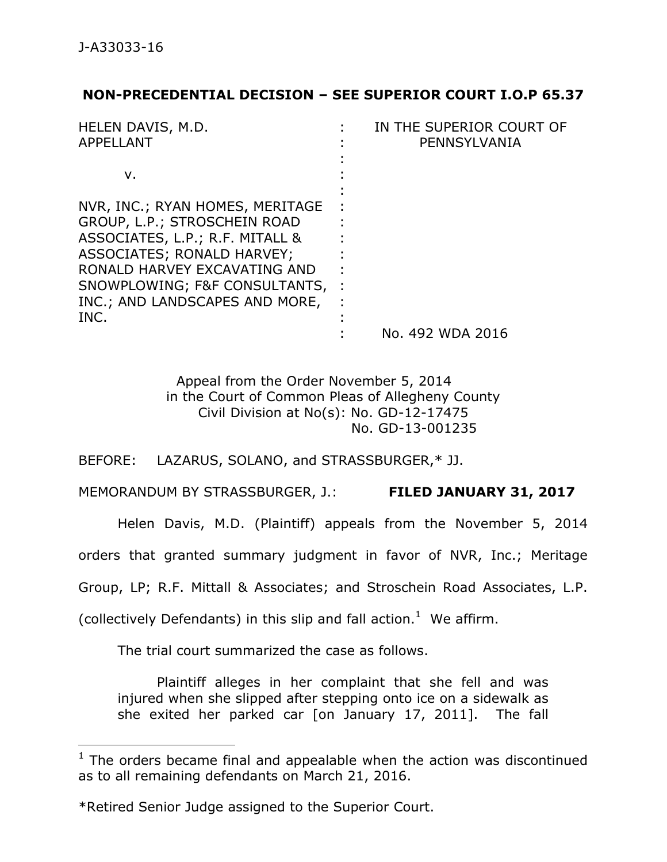$\overline{a}$ 

## **NON-PRECEDENTIAL DECISION – SEE SUPERIOR COURT I.O.P 65.37**

| HELEN DAVIS, M.D.               | IN THE SUPERIOR COURT OF |
|---------------------------------|--------------------------|
| APPELLANT                       | PENNSYLVANIA             |
|                                 |                          |
| ν.                              |                          |
|                                 |                          |
| NVR, INC.; RYAN HOMES, MERITAGE |                          |
| GROUP, L.P.; STROSCHEIN ROAD    |                          |
| ASSOCIATES, L.P.; R.F. MITALL & |                          |
| ASSOCIATES; RONALD HARVEY;      |                          |
| RONALD HARVEY EXCAVATING AND    |                          |
| SNOWPLOWING; F&F CONSULTANTS,   |                          |
| INC.; AND LANDSCAPES AND MORE,  |                          |
| INC.                            |                          |
|                                 | No. 492 WDA 2016         |

Appeal from the Order November 5, 2014 in the Court of Common Pleas of Allegheny County Civil Division at No(s): No. GD-12-17475 No. GD-13-001235

BEFORE: LAZARUS, SOLANO, and STRASSBURGER,\* JJ.

MEMORANDUM BY STRASSBURGER, J.: **FILED JANUARY 31, 2017**

Helen Davis, M.D. (Plaintiff) appeals from the November 5, 2014

orders that granted summary judgment in favor of NVR, Inc.; Meritage

Group, LP; R.F. Mittall & Associates; and Stroschein Road Associates, L.P.

(collectively Defendants) in this slip and fall action. $<sup>1</sup>$  We affirm.</sup>

The trial court summarized the case as follows.

Plaintiff alleges in her complaint that she fell and was injured when she slipped after stepping onto ice on a sidewalk as she exited her parked car [on January 17, 2011]. The fall

 $1$  The orders became final and appealable when the action was discontinued as to all remaining defendants on March 21, 2016.

<sup>\*</sup>Retired Senior Judge assigned to the Superior Court.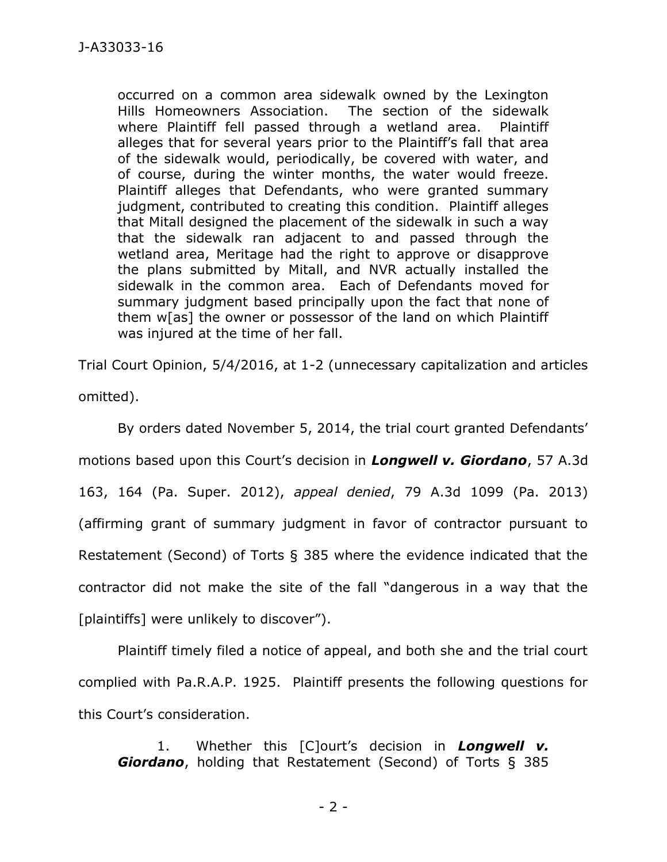occurred on a common area sidewalk owned by the Lexington Hills Homeowners Association. The section of the sidewalk where Plaintiff fell passed through a wetland area. Plaintiff alleges that for several years prior to the Plaintiff's fall that area of the sidewalk would, periodically, be covered with water, and of course, during the winter months, the water would freeze. Plaintiff alleges that Defendants, who were granted summary judgment, contributed to creating this condition. Plaintiff alleges that Mitall designed the placement of the sidewalk in such a way that the sidewalk ran adjacent to and passed through the wetland area, Meritage had the right to approve or disapprove the plans submitted by Mitall, and NVR actually installed the sidewalk in the common area. Each of Defendants moved for summary judgment based principally upon the fact that none of them w[as] the owner or possessor of the land on which Plaintiff was injured at the time of her fall.

Trial Court Opinion, 5/4/2016, at 1-2 (unnecessary capitalization and articles omitted).

By orders dated November 5, 2014, the trial court granted Defendants' motions based upon this Court's decision in *Longwell v. Giordano*, 57 A.3d 163, 164 (Pa. Super. 2012), *appeal denied*, 79 A.3d 1099 (Pa. 2013) (affirming grant of summary judgment in favor of contractor pursuant to Restatement (Second) of Torts § 385 where the evidence indicated that the contractor did not make the site of the fall "dangerous in a way that the [plaintiffs] were unlikely to discover").

Plaintiff timely filed a notice of appeal, and both she and the trial court complied with Pa.R.A.P. 1925. Plaintiff presents the following questions for this Court's consideration.

1. Whether this [C]ourt's decision in *Longwell v. Giordano*, holding that Restatement (Second) of Torts § 385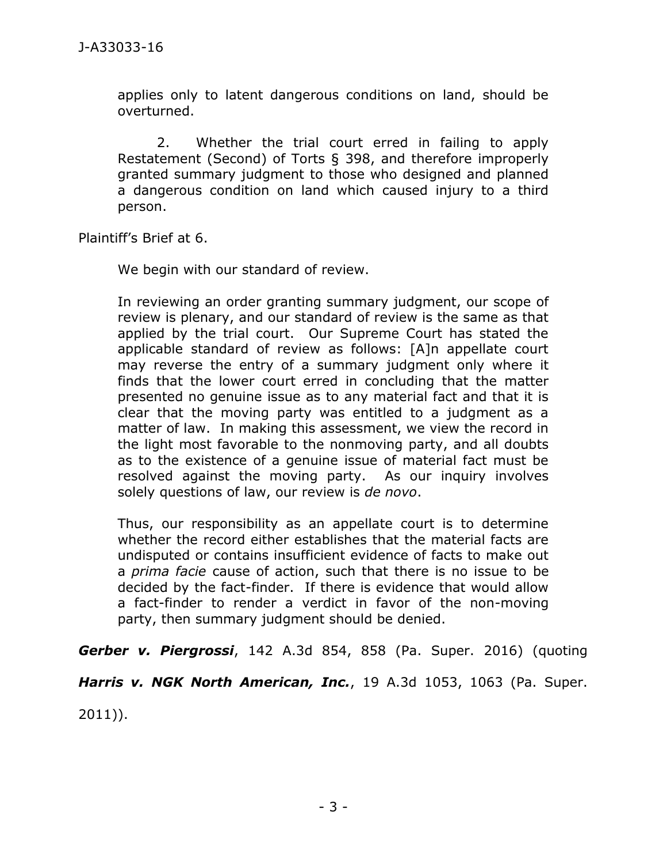applies only to latent dangerous conditions on land, should be overturned.

2. Whether the trial court erred in failing to apply Restatement (Second) of Torts § 398, and therefore improperly granted summary judgment to those who designed and planned a dangerous condition on land which caused injury to a third person.

Plaintiff's Brief at 6.

We begin with our standard of review.

In reviewing an order granting summary judgment, our scope of review is plenary, and our standard of review is the same as that applied by the trial court. Our Supreme Court has stated the applicable standard of review as follows: [A]n appellate court may reverse the entry of a summary judgment only where it finds that the lower court erred in concluding that the matter presented no genuine issue as to any material fact and that it is clear that the moving party was entitled to a judgment as a matter of law. In making this assessment, we view the record in the light most favorable to the nonmoving party, and all doubts as to the existence of a genuine issue of material fact must be resolved against the moving party. As our inquiry involves solely questions of law, our review is *de novo*.

Thus, our responsibility as an appellate court is to determine whether the record either establishes that the material facts are undisputed or contains insufficient evidence of facts to make out a *prima facie* cause of action, such that there is no issue to be decided by the fact-finder. If there is evidence that would allow a fact-finder to render a verdict in favor of the non-moving party, then summary judgment should be denied.

*Gerber v. Piergrossi*, 142 A.3d 854, 858 (Pa. Super. 2016) (quoting *Harris v. NGK North American, Inc.*, 19 A.3d 1053, 1063 (Pa. Super. 2011)).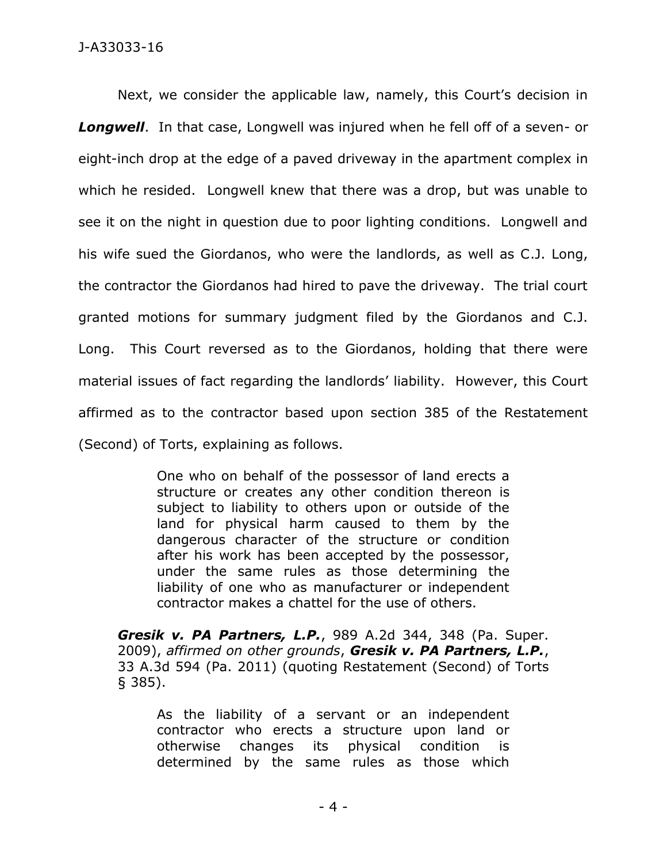Next, we consider the applicable law, namely, this Court's decision in *Longwell*. In that case, Longwell was injured when he fell off of a seven- or eight-inch drop at the edge of a paved driveway in the apartment complex in which he resided. Longwell knew that there was a drop, but was unable to see it on the night in question due to poor lighting conditions. Longwell and his wife sued the Giordanos, who were the landlords, as well as C.J. Long, the contractor the Giordanos had hired to pave the driveway. The trial court granted motions for summary judgment filed by the Giordanos and C.J. Long. This Court reversed as to the Giordanos, holding that there were material issues of fact regarding the landlords' liability. However, this Court affirmed as to the contractor based upon section 385 of the Restatement (Second) of Torts, explaining as follows.

> One who on behalf of the possessor of land erects a structure or creates any other condition thereon is subject to liability to others upon or outside of the land for physical harm caused to them by the dangerous character of the structure or condition after his work has been accepted by the possessor, under the same rules as those determining the liability of one who as manufacturer or independent contractor makes a chattel for the use of others.

*Gresik v. PA Partners, L.P.*, 989 A.2d 344, 348 (Pa. Super. 2009), *affirmed on other grounds*, *Gresik v. PA Partners, L.P.*, 33 A.3d 594 (Pa. 2011) (quoting Restatement (Second) of Torts § 385).

As the liability of a servant or an independent contractor who erects a structure upon land or otherwise changes its physical condition is determined by the same rules as those which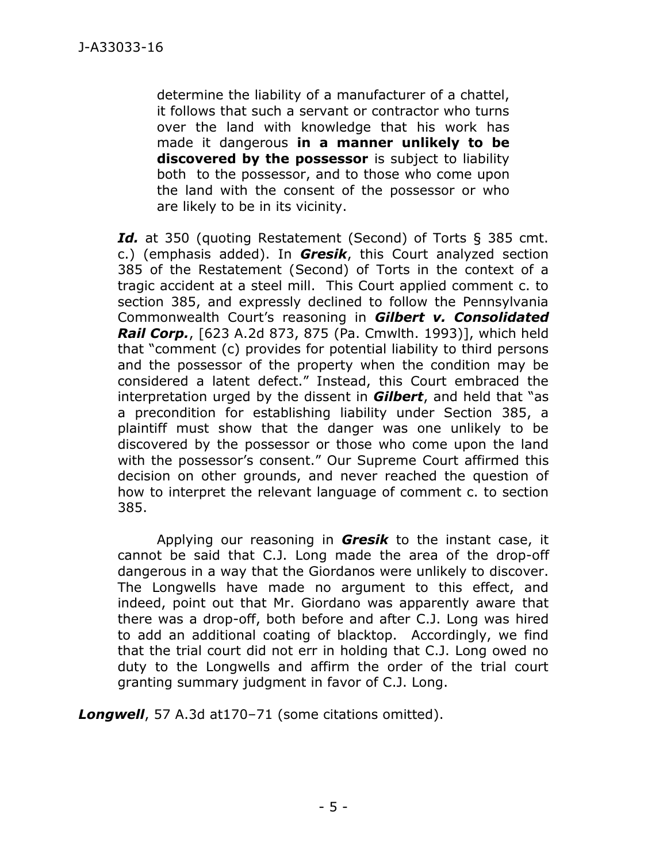determine the liability of a manufacturer of a chattel, it follows that such a servant or contractor who turns over the land with knowledge that his work has made it dangerous **in a manner unlikely to be discovered by the possessor** is subject to liability both to the possessor, and to those who come upon the land with the consent of the possessor or who are likely to be in its vicinity.

*Id.* at 350 (quoting Restatement (Second) of Torts § 385 cmt. c.) (emphasis added). In *Gresik*, this Court analyzed section 385 of the Restatement (Second) of Torts in the context of a tragic accident at a steel mill. This Court applied comment c. to section 385, and expressly declined to follow the Pennsylvania Commonwealth Court's reasoning in *Gilbert v. Consolidated Rail Corp.*, [623 A.2d 873, 875 (Pa. Cmwlth. 1993)], which held that "comment (c) provides for potential liability to third persons and the possessor of the property when the condition may be considered a latent defect." Instead, this Court embraced the interpretation urged by the dissent in *Gilbert*, and held that "as a precondition for establishing liability under Section 385, a plaintiff must show that the danger was one unlikely to be discovered by the possessor or those who come upon the land with the possessor's consent." Our Supreme Court affirmed this decision on other grounds, and never reached the question of how to interpret the relevant language of comment c. to section 385.

Applying our reasoning in *Gresik* to the instant case, it cannot be said that C.J. Long made the area of the drop-off dangerous in a way that the Giordanos were unlikely to discover. The Longwells have made no argument to this effect, and indeed, point out that Mr. Giordano was apparently aware that there was a drop-off, both before and after C.J. Long was hired to add an additional coating of blacktop. Accordingly, we find that the trial court did not err in holding that C.J. Long owed no duty to the Longwells and affirm the order of the trial court granting summary judgment in favor of C.J. Long.

*Longwell*, 57 A.3d at170–71 (some citations omitted).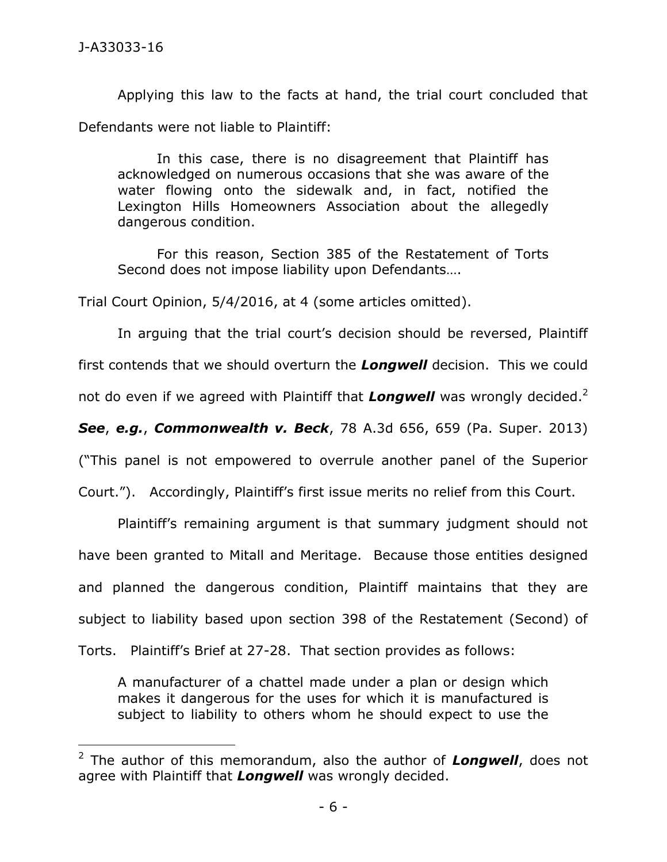$\overline{a}$ 

Applying this law to the facts at hand, the trial court concluded that Defendants were not liable to Plaintiff:

In this case, there is no disagreement that Plaintiff has acknowledged on numerous occasions that she was aware of the water flowing onto the sidewalk and, in fact, notified the Lexington Hills Homeowners Association about the allegedly dangerous condition.

For this reason, Section 385 of the Restatement of Torts Second does not impose liability upon Defendants….

Trial Court Opinion, 5/4/2016, at 4 (some articles omitted).

In arguing that the trial court's decision should be reversed, Plaintiff

first contends that we should overturn the *Longwell* decision. This we could

not do even if we agreed with Plaintiff that Longwell was wrongly decided.<sup>2</sup>

*See*, *e.g.*, *Commonwealth v. Beck*, 78 A.3d 656, 659 (Pa. Super. 2013)

("This panel is not empowered to overrule another panel of the Superior

Court."). Accordingly, Plaintiff's first issue merits no relief from this Court.

Plaintiff's remaining argument is that summary judgment should not have been granted to Mitall and Meritage. Because those entities designed and planned the dangerous condition, Plaintiff maintains that they are subject to liability based upon section 398 of the Restatement (Second) of Torts. Plaintiff's Brief at 27-28. That section provides as follows:

A manufacturer of a chattel made under a plan or design which makes it dangerous for the uses for which it is manufactured is subject to liability to others whom he should expect to use the

<sup>2</sup> The author of this memorandum, also the author of *Longwell*, does not agree with Plaintiff that *Longwell* was wrongly decided.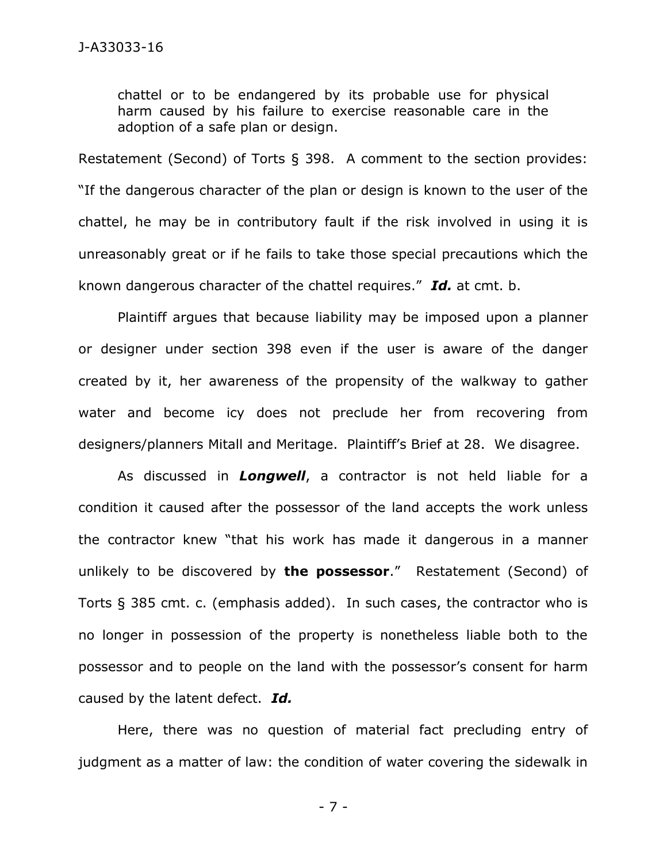chattel or to be endangered by its probable use for physical harm caused by his failure to exercise reasonable care in the adoption of a safe plan or design.

Restatement (Second) of Torts § 398. A comment to the section provides: "If the dangerous character of the plan or design is known to the user of the chattel, he may be in contributory fault if the risk involved in using it is unreasonably great or if he fails to take those special precautions which the known dangerous character of the chattel requires." *Id.* at cmt. b.

Plaintiff argues that because liability may be imposed upon a planner or designer under section 398 even if the user is aware of the danger created by it, her awareness of the propensity of the walkway to gather water and become icy does not preclude her from recovering from designers/planners Mitall and Meritage. Plaintiff's Brief at 28. We disagree.

As discussed in *Longwell*, a contractor is not held liable for a condition it caused after the possessor of the land accepts the work unless the contractor knew "that his work has made it dangerous in a manner unlikely to be discovered by **the possessor**." Restatement (Second) of Torts § 385 cmt. c. (emphasis added). In such cases, the contractor who is no longer in possession of the property is nonetheless liable both to the possessor and to people on the land with the possessor's consent for harm caused by the latent defect. *Id.* 

Here, there was no question of material fact precluding entry of judgment as a matter of law: the condition of water covering the sidewalk in

- 7 -